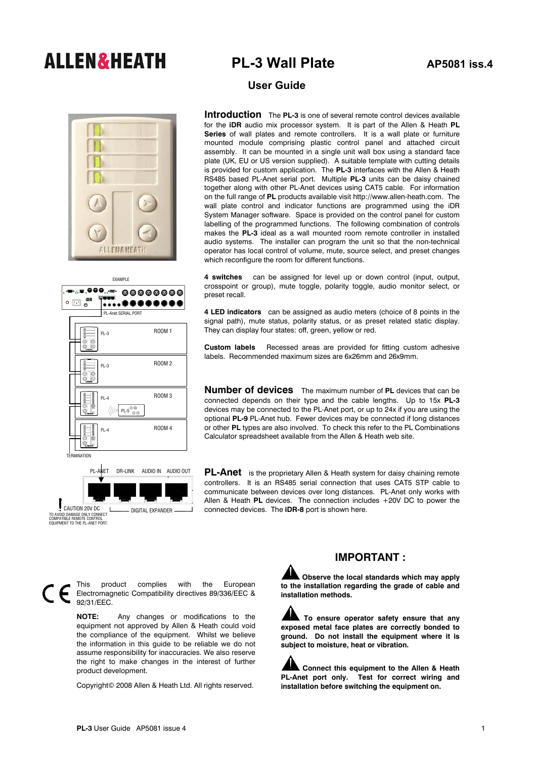# **ALLEN&HEATH** PL-3 Wall Plate AP5081 iss.4



EXAMPLE  $\circ$   $\odot$   $\bullet$ ............ PL-Anet SERIAL PORT ROOM 1 PL-3 ROOM 2 PL-3 ROOM 3 PL-4  $\left( (\text{(1) PL-5)}\right)$ ROOM 4 PL-4 TERMINATION



## **User Guide**

**Introduction** The **PL-3** is one of several remote control devices available for the **iDR** audio mix processor system. It is part of the Allen & Heath **PL Series** of wall plates and remote controllers. It is a wall plate or furniture mounted module comprising plastic control panel and attached circuit assembly. It can be mounted in a single unit wall box using a standard face plate (UK, EU or US version supplied). A suitable template with cutting details is provided for custom application. The **PL-3** interfaces with the Allen & Heath RS485 based PL-Anet serial port. Multiple **PL-3** units can be daisy chained together along with other PL-Anet devices using CAT5 cable. For information on the full range of **PL** products available visit http://www.allen-heath.com. The wall plate control and indicator functions are programmed using the iDR System Manager software. Space is provided on the control panel for custom labelling of the programmed functions. The following combination of controls makes the **PL-3** ideal as a wall mounted room remote controller in installed audio systems. The installer can program the unit so that the non-technical operator has local control of volume, mute, source select, and preset changes which reconfigure the room for different functions.

**4 switches** can be assigned for level up or down control (input, output, crosspoint or group), mute toggle, polarity toggle, audio monitor select, or preset recall.

**4 LED indicators** can be assigned as audio meters (choice of 8 points in the signal path), mute status, polarity status, or as preset related static display. They can display four states: off, green, yellow or red.

**Custom labels** Recessed areas are provided for fitting custom adhesive labels. Recommended maximum sizes are 6x26mm and 26x9mm.

**Number of devices** The maximum number of **PL** devices that can be connected depends on their type and the cable lengths. Up to 15x **PL-3** devices may be connected to the PL-Anet port, or up to 24x if you are using the optional **PL-9** PL-Anet hub. Fewer devices may be connected if long distances or other **PL** types are also involved. To check this refer to the PL Combinations Calculator spreadsheet available from the Allen & Heath web site.

**PL-Anet** is the proprietary Allen & Heath system for daisy chaining remote controllers. It is an RS485 serial connection that uses CAT5 STP cable to communicate between devices over long distances. PL-Anet only works with Allen & Heath **PL** devices. The connection includes +20V DC to power the connected devices. The **iDR-8** port is shown here.

This product complies with the European Electromagnetic Compatibility directives 89/336/EEC & 92/31/EEC.

> **NOTE:** Any changes or modifications to the equipment not approved by Allen & Heath could void the compliance of the equipment. Whilst we believe the information in this guide to be reliable we do not assume responsibility for inaccuracies. We also reserve the right to make changes in the interest of further product development.

Copyright© 2008 Allen & Heath Ltd. All rights reserved.

### **IMPORTANT :**

**Observe the local standards which may apply to the installation regarding the grade of cable and installation methods.** 

**To ensure operator safety ensure that any exposed metal face plates are correctly bonded to ground. Do not install the equipment where it is subject to moisture, heat or vibration.** 

**Connect this equipment to the Allen & Heath PL-Anet port only. Test for correct wiring and installation before switching the equipment on.**